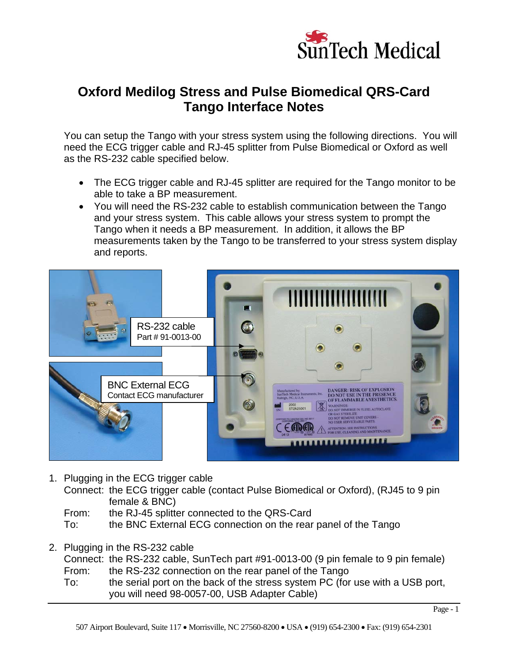

## **Oxford Medilog Stress and Pulse Biomedical QRS-Card Tango Interface Notes**

You can setup the Tango with your stress system using the following directions. You will need the ECG trigger cable and RJ-45 splitter from Pulse Biomedical or Oxford as well as the RS-232 cable specified below.

- The ECG trigger cable and RJ-45 splitter are required for the Tango monitor to be able to take a BP measurement.
- You will need the RS-232 cable to establish communication between the Tango and your stress system. This cable allows your stress system to prompt the Tango when it needs a BP measurement. In addition, it allows the BP measurements taken by the Tango to be transferred to your stress system display and reports.



- 1. Plugging in the ECG trigger cable Connect: the ECG trigger cable (contact Pulse Biomedical or Oxford), (RJ45 to 9 pin female & BNC) From: the RJ-45 splitter connected to the QRS-Card
	- To: the BNC External ECG connection on the rear panel of the Tango
- 2. Plugging in the RS-232 cable

|       | Connect: the RS-232 cable, SunTech part #91-0013-00 (9 pin female to 9 pin female) |
|-------|------------------------------------------------------------------------------------|
| From: | the RS-232 connection on the rear panel of the Tango                               |
| To:   | the serial port on the back of the stress system PC (for use with a USB port,      |
|       | you will need 98-0057-00, USB Adapter Cable)                                       |